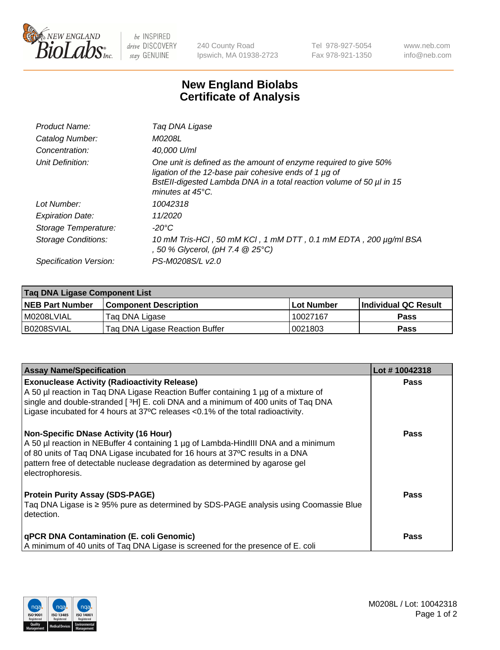

 $be$  INSPIRED drive DISCOVERY stay GENUINE

240 County Road Ipswich, MA 01938-2723 Tel 978-927-5054 Fax 978-921-1350 www.neb.com info@neb.com

## **New England Biolabs Certificate of Analysis**

| Product Name:              | Taq DNA Ligase                                                                                                                                                                                                                  |
|----------------------------|---------------------------------------------------------------------------------------------------------------------------------------------------------------------------------------------------------------------------------|
| Catalog Number:            | M0208L                                                                                                                                                                                                                          |
| Concentration:             | 40,000 U/ml                                                                                                                                                                                                                     |
| Unit Definition:           | One unit is defined as the amount of enzyme required to give 50%<br>ligation of the 12-base pair cohesive ends of 1 µg of<br>BstEll-digested Lambda DNA in a total reaction volume of 50 µl in 15<br>minutes at $45^{\circ}$ C. |
| Lot Number:                | 10042318                                                                                                                                                                                                                        |
| <b>Expiration Date:</b>    | 11/2020                                                                                                                                                                                                                         |
| Storage Temperature:       | $-20^{\circ}$ C                                                                                                                                                                                                                 |
| <b>Storage Conditions:</b> | 10 mM Tris-HCl, 50 mM KCl, 1 mM DTT, 0.1 mM EDTA, 200 µg/ml BSA<br>, 50 % Glycerol, (pH 7.4 @ 25°C)                                                                                                                             |
| Specification Version:     | PS-M0208S/L v2.0                                                                                                                                                                                                                |

| Taq DNA Ligase Component List |                                |                   |                      |  |
|-------------------------------|--------------------------------|-------------------|----------------------|--|
| NEB Part Number               | <b>Component Description</b>   | <b>Lot Number</b> | Individual QC Result |  |
| M0208LVIAL                    | Tag DNA Ligase                 | 10027167          | <b>Pass</b>          |  |
| B0208SVIAL                    | Tag DNA Ligase Reaction Buffer | 0021803           | <b>Pass</b>          |  |

| <b>Assay Name/Specification</b>                                                                                                                                                                                                                                                                                              | Lot #10042318 |
|------------------------------------------------------------------------------------------------------------------------------------------------------------------------------------------------------------------------------------------------------------------------------------------------------------------------------|---------------|
| <b>Exonuclease Activity (Radioactivity Release)</b><br>A 50 µl reaction in Taq DNA Ligase Reaction Buffer containing 1 µg of a mixture of<br>single and double-stranded [3H] E. coli DNA and a minimum of 400 units of Taq DNA<br>Ligase incubated for 4 hours at $37^{\circ}$ C releases < 0.1% of the total radioactivity. | <b>Pass</b>   |
| <b>Non-Specific DNase Activity (16 Hour)</b><br>A 50 µl reaction in NEBuffer 4 containing 1 µg of Lambda-HindIII DNA and a minimum<br>of 80 units of Taq DNA Ligase incubated for 16 hours at 37°C results in a DNA<br>pattern free of detectable nuclease degradation as determined by agarose gel<br>electrophoresis.      | <b>Pass</b>   |
| <b>Protein Purity Assay (SDS-PAGE)</b><br>Taq DNA Ligase is ≥ 95% pure as determined by SDS-PAGE analysis using Coomassie Blue<br>detection.                                                                                                                                                                                 | <b>Pass</b>   |
| <b>qPCR DNA Contamination (E. coli Genomic)</b><br>A minimum of 40 units of Taq DNA Ligase is screened for the presence of E. coli                                                                                                                                                                                           | Pass          |